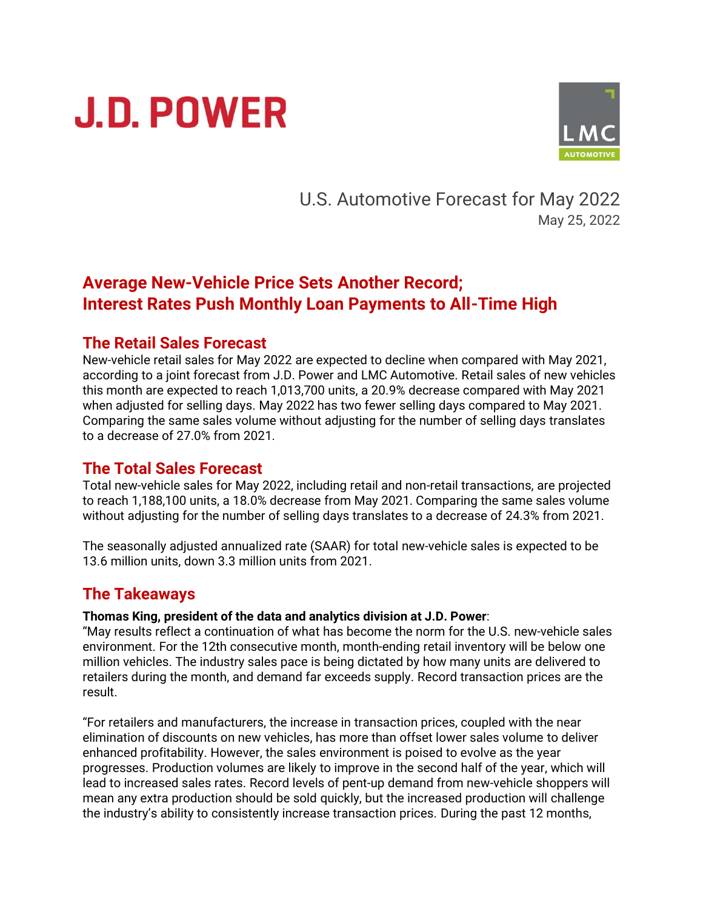# **J.D. POWER**



U.S. Automotive Forecast for May 2022 May 25, 2022

## **Average New-Vehicle Price Sets Another Record; Interest Rates Push Monthly Loan Payments to All-Time High**

#### **The Retail Sales Forecast**

New-vehicle retail sales for May 2022 are expected to decline when compared with May 2021, according to a joint forecast from J.D. Power and LMC Automotive. Retail sales of new vehicles this month are expected to reach 1,013,700 units, a 20.9% decrease compared with May 2021 when adjusted for selling days. May 2022 has two fewer selling days compared to May 2021. Comparing the same sales volume without adjusting for the number of selling days translates to a decrease of 27.0% from 2021.

## **The Total Sales Forecast**

Total new-vehicle sales for May 2022, including retail and non-retail transactions, are projected to reach 1,188,100 units, a 18.0% decrease from May 2021. Comparing the same sales volume without adjusting for the number of selling days translates to a decrease of 24.3% from 2021.

The seasonally adjusted annualized rate (SAAR) for total new-vehicle sales is expected to be 13.6 million units, down 3.3 million units from 2021.

## **The Takeaways**

#### **Thomas King, president of the data and analytics division at J.D. Power**:

"May results reflect a continuation of what has become the norm for the U.S. new-vehicle sales environment. For the 12th consecutive month, month-ending retail inventory will be below one million vehicles. The industry sales pace is being dictated by how many units are delivered to retailers during the month, and demand far exceeds supply. Record transaction prices are the result.

"For retailers and manufacturers, the increase in transaction prices, coupled with the near elimination of discounts on new vehicles, has more than offset lower sales volume to deliver enhanced profitability. However, the sales environment is poised to evolve as the year progresses. Production volumes are likely to improve in the second half of the year, which will lead to increased sales rates. Record levels of pent-up demand from new-vehicle shoppers will mean any extra production should be sold quickly, but the increased production will challenge the industry's ability to consistently increase transaction prices. During the past 12 months,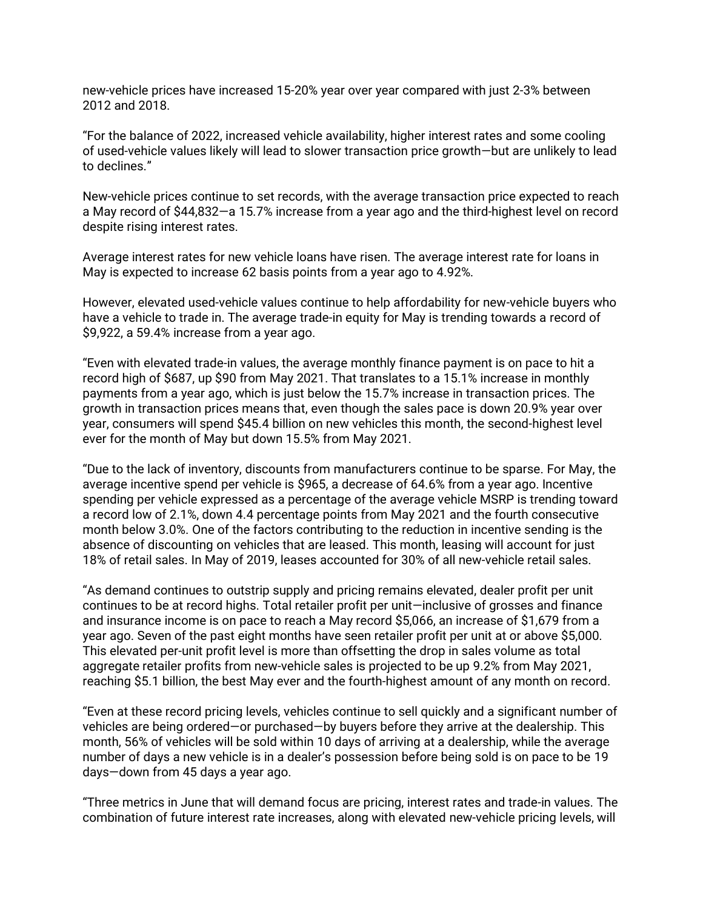new-vehicle prices have increased 15-20% year over year compared with just 2-3% between 2012 and 2018.

"For the balance of 2022, increased vehicle availability, higher interest rates and some cooling of used-vehicle values likely will lead to slower transaction price growth—but are unlikely to lead to declines."

New-vehicle prices continue to set records, with the average transaction price expected to reach a May record of \$44,832—a 15.7% increase from a year ago and the third-highest level on record despite rising interest rates.

Average interest rates for new vehicle loans have risen. The average interest rate for loans in May is expected to increase 62 basis points from a year ago to 4.92%.

However, elevated used-vehicle values continue to help affordability for new-vehicle buyers who have a vehicle to trade in. The average trade-in equity for May is trending towards a record of \$9,922, a 59.4% increase from a year ago.

"Even with elevated trade-in values, the average monthly finance payment is on pace to hit a record high of \$687, up \$90 from May 2021. That translates to a 15.1% increase in monthly payments from a year ago, which is just below the 15.7% increase in transaction prices. The growth in transaction prices means that, even though the sales pace is down 20.9% year over year, consumers will spend \$45.4 billion on new vehicles this month, the second-highest level ever for the month of May but down 15.5% from May 2021.

"Due to the lack of inventory, discounts from manufacturers continue to be sparse. For May, the average incentive spend per vehicle is \$965, a decrease of 64.6% from a year ago. Incentive spending per vehicle expressed as a percentage of the average vehicle MSRP is trending toward a record low of 2.1%, down 4.4 percentage points from May 2021 and the fourth consecutive month below 3.0%. One of the factors contributing to the reduction in incentive sending is the absence of discounting on vehicles that are leased. This month, leasing will account for just 18% of retail sales. In May of 2019, leases accounted for 30% of all new-vehicle retail sales.

"As demand continues to outstrip supply and pricing remains elevated, dealer profit per unit continues to be at record highs. Total retailer profit per unit—inclusive of grosses and finance and insurance income is on pace to reach a May record \$5,066, an increase of \$1,679 from a year ago. Seven of the past eight months have seen retailer profit per unit at or above \$5,000. This elevated per-unit profit level is more than offsetting the drop in sales volume as total aggregate retailer profits from new-vehicle sales is projected to be up 9.2% from May 2021, reaching \$5.1 billion, the best May ever and the fourth-highest amount of any month on record.

"Even at these record pricing levels, vehicles continue to sell quickly and a significant number of vehicles are being ordered—or purchased—by buyers before they arrive at the dealership. This month, 56% of vehicles will be sold within 10 days of arriving at a dealership, while the average number of days a new vehicle is in a dealer's possession before being sold is on pace to be 19 days—down from 45 days a year ago.

"Three metrics in June that will demand focus are pricing, interest rates and trade-in values. The combination of future interest rate increases, along with elevated new-vehicle pricing levels, will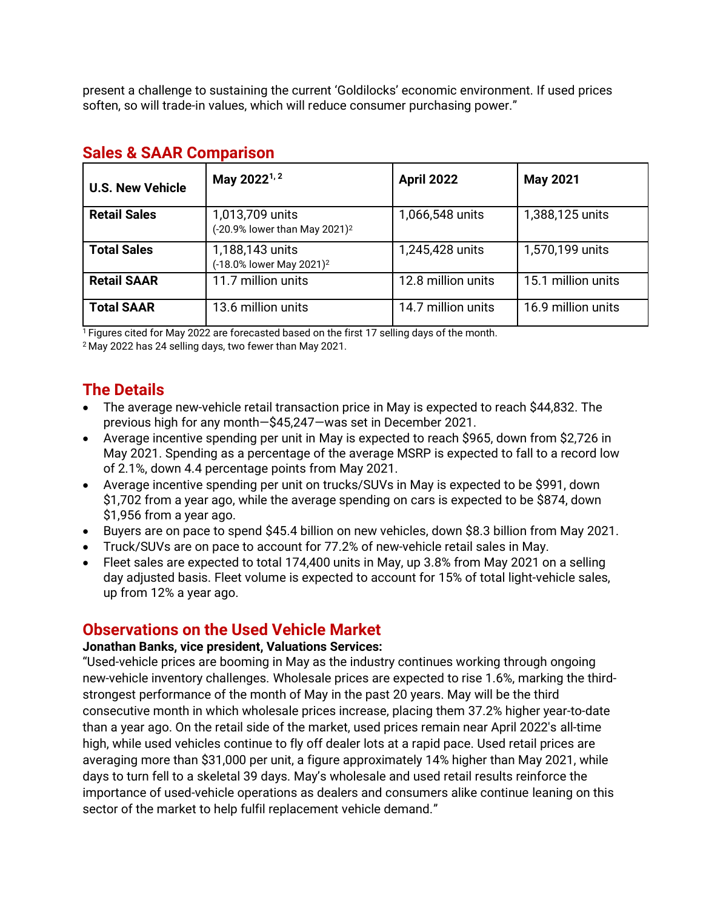present a challenge to sustaining the current 'Goldilocks' economic environment. If used prices soften, so will trade-in values, which will reduce consumer purchasing power."

| <b>U.S. New Vehicle</b> | May 2022 <sup>1, 2</sup>                                     | <b>April 2022</b>  | <b>May 2021</b>    |
|-------------------------|--------------------------------------------------------------|--------------------|--------------------|
| <b>Retail Sales</b>     | 1,013,709 units<br>(-20.9% lower than May 2021) <sup>2</sup> | 1,066,548 units    | 1,388,125 units    |
| <b>Total Sales</b>      | 1,188,143 units<br>(-18.0% lower May 2021) <sup>2</sup>      | 1,245,428 units    | 1,570,199 units    |
| <b>Retail SAAR</b>      | 11.7 million units                                           | 12.8 million units | 15.1 million units |
| <b>Total SAAR</b>       | 13.6 million units                                           | 14.7 million units | 16.9 million units |

#### **Sales & SAAR Comparison**

 $1$  Figures cited for May 2022 are forecasted based on the first 17 selling days of the month.

<sup>2</sup> May 2022 has 24 selling days, two fewer than May 2021.

## **The Details**

- The average new-vehicle retail transaction price in May is expected to reach \$44,832. The previous high for any month—\$45,247—was set in December 2021.
- Average incentive spending per unit in May is expected to reach \$965, down from \$2,726 in May 2021. Spending as a percentage of the average MSRP is expected to fall to a record low of 2.1%, down 4.4 percentage points from May 2021.
- Average incentive spending per unit on trucks/SUVs in May is expected to be \$991, down \$1,702 from a year ago, while the average spending on cars is expected to be \$874, down \$1,956 from a year ago.
- Buyers are on pace to spend \$45.4 billion on new vehicles, down \$8.3 billion from May 2021.
- Truck/SUVs are on pace to account for 77.2% of new-vehicle retail sales in May.
- Fleet sales are expected to total 174,400 units in May, up 3.8% from May 2021 on a selling day adjusted basis. Fleet volume is expected to account for 15% of total light-vehicle sales, up from 12% a year ago.

#### **Observations on the Used Vehicle Market**

#### **Jonathan Banks, vice president, Valuations Services:**

"Used-vehicle prices are booming in May as the industry continues working through ongoing new-vehicle inventory challenges. Wholesale prices are expected to rise 1.6%, marking the thirdstrongest performance of the month of May in the past 20 years. May will be the third consecutive month in which wholesale prices increase, placing them 37.2% higher year-to-date than a year ago. On the retail side of the market, used prices remain near April 2022's all-time high, while used vehicles continue to fly off dealer lots at a rapid pace. Used retail prices are averaging more than \$31,000 per unit, a figure approximately 14% higher than May 2021, while days to turn fell to a skeletal 39 days. May's wholesale and used retail results reinforce the importance of used-vehicle operations as dealers and consumers alike continue leaning on this sector of the market to help fulfil replacement vehicle demand."